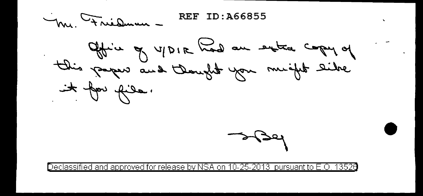**REF ID: A66855** M. Friedman.

Office of UPIR had an extra copy of it for file.

 $\mathbf{r}$ 

Declassified and approved for release by NSA on 10-25-2013  $\,$  pursuant to E.O.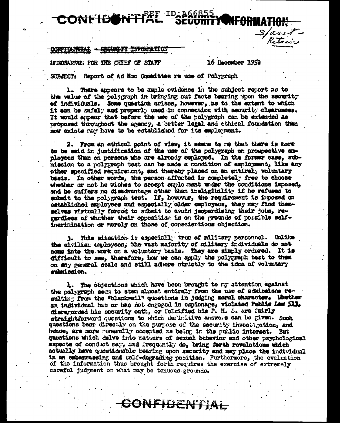# CONFIDON'I'A

#### <del>SECURETY INFORM</del>ITION 86NC TIME AT -

MENORANDE: FOR THE CHIEF OF STAFF

#### 16 December 1952

Sasit-<br>Retain

SUBJECT: Report of Ad Hoo Committee re use of Polygraph

1. There appears to be ample evidence in the subject report as to the value of the polygraph in bringing out facts bearing upon the security of individuals. Some question arises, however, as to the extent to which it can be safely and properly used in connection with security clearances. It would appear that before the use of the polygraph can be extended as proposed throughout the agency, a batter legal and ethical foundation than now exists may have to be established for its employment.

2. From an ethical point of view, it seems to me that there is more to be said in justification of the use of the polygraph on prospective exployees than on persons who are already employed. In the former case, submission to a polygraph test can be made a condition of employment, like any other specified requirement, and thereby placed on an entirely voluntary basis. In other words, the person affected is completely free to choose whether or not he wishes to accept emplo ment under the conditions imposed, and he suffers no disadvantage other than ineligibility if he refuses to subsit to the polygraph test. If, however, the requirement is imposed on established employees and especially older employees, they may find themselves virtually forced to submit to avoid jeopardising their jobs, regardless of whother their opposition is on the grounds of possible selfingrimination or moraly on those of conscientious objection.

3. This situation is especially true of military personnel. Unlike the civilian employees, the vast majority of military individuals do not come into the work on a voluntary basis. They are simply ordered. It is difficult to see, therefore, how we can apply the polygraph test to them on any general scale and still adhere strictly to the idea of voluntary mimission.

4. The objections which have been brought to ny attention against the polygraph seem to stem almost entirely from the use of admissions resulting from the "blackmail" questions in judging moral character. Whether an individual has or has not engaged in espionage, violated Public Law S11, disregarded his security oath, or falaified his P. H. S. are fairly straightforward questions to which definitive answers ean be given. Such questions beer directly on the purpose of the security invectigation, and hence, are more generally accepted as being in the public interest. But gaestions which delve into matters of sexual behavior and other psychological aspects of conduct may, and frequently do, bring farth revelations which actually have questionable bearing upon security and may place the individual in an embarrassing and self-degrading position. Furthermore, the evaluation of the information thus brought forth requires the exercise of extremely careful judgment on what may be tenuous grounds.

SONFIDENT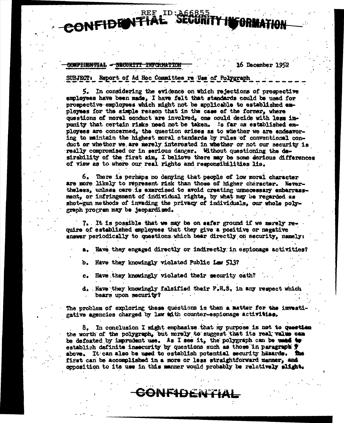## REF ID: 466855 CONFIDENTIAL

#### <del>CONFIDENTIAL - SECURITI INFORMATIO</del>

**16 December 1952** 

SUBJECT: Report of Ad Hoc Committee re Use of Polygraph

5. In considering the evidence on which rejections of prospective employees have been made, I have felt that standards could be used for prospective employees which might not be applicable to established empleyees for the simple reason that in the case of the former, where questions of moral conduct are involved, one could decide with less impunity that certain risks need not be taken. As far as established enployees are concerned. the question arises as to whether we are endeavoring to maintain the highest moral standards by rules of conventional conduct or whether we are merely interested in whether or not our security is really compromised or in serious danger. Without questioning the dasirability of the first aim. I believe there may be some derious differences of view as to where our real rights and responsibilities lie.

6. There is perhaps no denying that people of low moral character are more likely to represent risk than those of higher character. Nevertheless, unless care is exercised to avoid creating unnecessary embarrassment, or infringement of individual rights, by what may be regarded as shot-gun methods of invading the privacy of individuals, our whole polygraph program may be jeopardiged.

7. It is possible that we may be on safer ground if we merely require of established employees that they give a positive or negative answer periodically to questions which bear directly on security, namely:

a. Have they engaged directly or indirectly in espionage activities?

Have they knowingly violated Public Law 513? b.

Have they knowingly violated their security oath?  $c_{\bullet}$ 

d. Have they knowingly falsified their P.H.S. in any respect which bears upon security?

The problem of exploring these questions is then a matter for the investigative agencies charged by law with counter-espionage activities.

8. In conclusion I might emphasize that my purpose is not to question the worth of the polygraph, but merely to suggest that its real value can be defeated by imprudent use. As I see it, the polygraph can be undefity establish definite insecurity by questions such as those in paragraph  $\ddot{\ddot{}}$ above. It can also be used to establish potential security hasards. The first can be accomplished in a more or less straightforward manner, and opposition to its use in this manner would probably be relatively slight.

CONFIDENTIAL